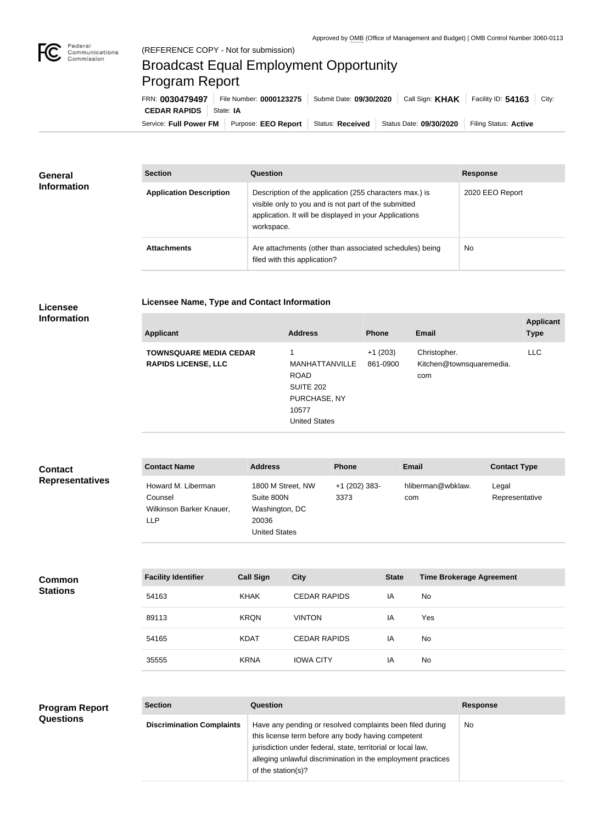

## Broadcast Equal Employment Opportunity Program Report

**Licensee Name, Type and Contact Information**

Service: Full Power FM | Purpose: EEO Report | Status: Received | Status Date: 09/30/2020 | Filing Status: Active **CEDAR RAPIDS** State: IA FRN: **0030479497** File Number: **0000123275** Submit Date: **09/30/2020** Call Sign: **KHAK** Facility ID: **54163** City:

| <b>General</b><br><b>Information</b> | <b>Section</b>                 | Question                                                                                                                                                                                | <b>Response</b> |
|--------------------------------------|--------------------------------|-----------------------------------------------------------------------------------------------------------------------------------------------------------------------------------------|-----------------|
|                                      | <b>Application Description</b> | Description of the application (255 characters max.) is<br>visible only to you and is not part of the submitted<br>application. It will be displayed in your Applications<br>workspace. | 2020 EEO Report |
|                                      | <b>Attachments</b>             | Are attachments (other than associated schedules) being<br>filed with this application?                                                                                                 | No              |

## **Licensee Information**

**Common Stations**

| <b>Applicant</b>                                            | <b>Address</b>                                                                                     | <b>Phone</b>          | Email                                           | <b>Applicant</b><br><b>Type</b> |
|-------------------------------------------------------------|----------------------------------------------------------------------------------------------------|-----------------------|-------------------------------------------------|---------------------------------|
| <b>TOWNSQUARE MEDIA CEDAR</b><br><b>RAPIDS LICENSE, LLC</b> | MANHATTANVILLE<br><b>ROAD</b><br><b>SUITE 202</b><br>PURCHASE, NY<br>10577<br><b>United States</b> | $+1(203)$<br>861-0900 | Christopher.<br>Kitchen@townsquaremedia.<br>com | <b>LLC</b>                      |
|                                                             |                                                                                                    |                       |                                                 |                                 |

| <b>Contact</b>         | <b>Contact Name</b>                                              | <b>Address</b>                                                                     | <b>Phone</b>            | <b>Email</b>             | <b>Contact Type</b>     |
|------------------------|------------------------------------------------------------------|------------------------------------------------------------------------------------|-------------------------|--------------------------|-------------------------|
| <b>Representatives</b> | Howard M. Liberman<br>Counsel<br>Wilkinson Barker Knauer,<br>LLP | 1800 M Street, NW<br>Suite 800N<br>Washington, DC<br>20036<br><b>United States</b> | $+1$ (202) 383-<br>3373 | hliberman@wbklaw.<br>com | Legal<br>Representative |

| <b>Facility Identifier</b> | <b>Call Sign</b> | <b>City</b>         | <b>State</b> | <b>Time Brokerage Agreement</b> |
|----------------------------|------------------|---------------------|--------------|---------------------------------|
| 54163                      | KHAK             | <b>CEDAR RAPIDS</b> | ΙA           | <b>No</b>                       |
| 89113                      | <b>KRQN</b>      | <b>VINTON</b>       | IA           | Yes                             |
| 54165                      | <b>KDAT</b>      | <b>CEDAR RAPIDS</b> | IA           | <b>No</b>                       |
| 35555                      | <b>KRNA</b>      | <b>IOWA CITY</b>    | IA           | No                              |

|                                                      |                                                                                                                                                    | <b>Response</b> |
|------------------------------------------------------|----------------------------------------------------------------------------------------------------------------------------------------------------|-----------------|
| <b>Questions</b><br><b>Discrimination Complaints</b> | Have any pending or resolved complaints been filed during<br>this license term before any body having competent                                    | . No            |
|                                                      | jurisdiction under federal, state, territorial or local law,<br>alleging unlawful discrimination in the employment practices<br>of the station(s)? |                 |